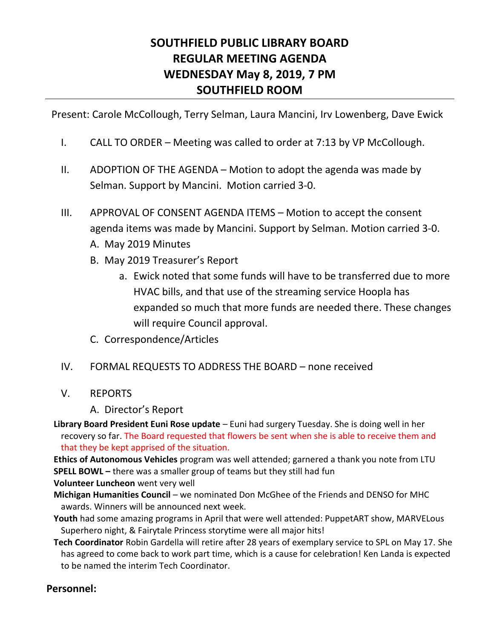# **SOUTHFIELD PUBLIC LIBRARY BOARD REGULAR MEETING AGENDA WEDNESDAY May 8, 2019, 7 PM SOUTHFIELD ROOM**

Present: Carole McCollough, Terry Selman, Laura Mancini, Irv Lowenberg, Dave Ewick

- I. CALL TO ORDER Meeting was called to order at 7:13 by VP McCollough.
- II. ADOPTION OF THE AGENDA Motion to adopt the agenda was made by Selman. Support by Mancini. Motion carried 3-0.
- III. APPROVAL OF CONSENT AGENDA ITEMS Motion to accept the consent agenda items was made by Mancini. Support by Selman. Motion carried 3-0. A. May 2019 Minutes
	- B. May 2019 Treasurer's Report
		- a. Ewick noted that some funds will have to be transferred due to more HVAC bills, and that use of the streaming service Hoopla has expanded so much that more funds are needed there. These changes will require Council approval.
	- C. Correspondence/Articles

## IV. FORMAL REQUESTS TO ADDRESS THE BOARD – none received

- V. REPORTS
	- A. Director's Report

**Library Board President Euni Rose update** – Euni had surgery Tuesday. She is doing well in her recovery so far. The Board requested that flowers be sent when she is able to receive them and that they be kept apprised of the situation.

**Ethics of Autonomous Vehicles** program was well attended; garnered a thank you note from LTU **SPELL BOWL** – there was a smaller group of teams but they still had fun

**Volunteer Luncheon** went very well

**Michigan Humanities Council** – we nominated Don McGhee of the Friends and DENSO for MHC awards. Winners will be announced next week.

- **Youth** had some amazing programs in April that were well attended: PuppetART show, MARVELous Superhero night, & Fairytale Princess storytime were all major hits!
- **Tech Coordinator** Robin Gardella will retire after 28 years of exemplary service to SPL on May 17. She has agreed to come back to work part time, which is a cause for celebration! Ken Landa is expected to be named the interim Tech Coordinator.

## **Personnel:**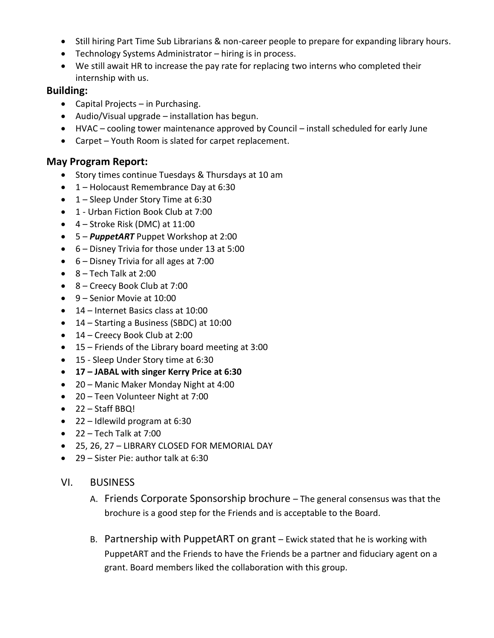- Still hiring Part Time Sub Librarians & non-career people to prepare for expanding library hours.
- Technology Systems Administrator hiring is in process.
- We still await HR to increase the pay rate for replacing two interns who completed their internship with us.

#### **Building:**

- Capital Projects in Purchasing.
- Audio/Visual upgrade installation has begun.
- HVAC cooling tower maintenance approved by Council install scheduled for early June
- Carpet Youth Room is slated for carpet replacement.

#### **May Program Report:**

- Story times continue Tuesdays & Thursdays at 10 am
- 1 Holocaust Remembrance Day at 6:30
- 1 Sleep Under Story Time at 6:30
- 1 Urban Fiction Book Club at 7:00
- $\bullet$  4 Stroke Risk (DMC) at 11:00
- 5 *PuppetART* Puppet Workshop at 2:00
- 6 Disney Trivia for those under 13 at 5:00
- 6 Disney Trivia for all ages at 7:00
- $\bullet$  8 Tech Talk at 2:00
- 8 Creecy Book Club at 7:00
- 9 Senior Movie at 10:00
- 14 Internet Basics class at 10:00
- 14 Starting a Business (SBDC) at 10:00
- 14 Creecy Book Club at 2:00
- 15 Friends of the Library board meeting at 3:00
- 15 Sleep Under Story time at 6:30
- **17 – JABAL with singer Kerry Price at 6:30**
- 20 Manic Maker Monday Night at 4:00
- 20 Teen Volunteer Night at 7:00
- 22 Staff BBQ!
- 22 Idlewild program at 6:30
- $\bullet$  22 Tech Talk at 7:00
- 25, 26, 27 LIBRARY CLOSED FOR MEMORIAL DAY
- 29 Sister Pie: author talk at 6:30
- VI. BUSINESS
	- A. Friends Corporate Sponsorship brochure The general consensus was that the brochure is a good step for the Friends and is acceptable to the Board.
	- B. Partnership with PuppetART on grant Ewick stated that he is working with PuppetART and the Friends to have the Friends be a partner and fiduciary agent on a grant. Board members liked the collaboration with this group.